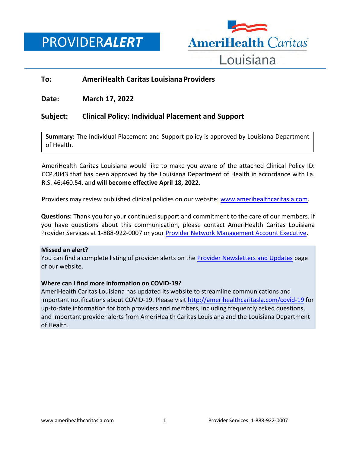PROVIDER*ALERT*



### **To: AmeriHealth Caritas Louisiana Providers**

**Date: March 17, 2022**

## **Subject: Clinical Policy: Individual Placement and Support**

**Summary:** The Individual Placement and Support policy is approved by Louisiana Department of Health.

AmeriHealth Caritas Louisiana would like to make you aware of the attached Clinical Policy ID: CCP.4043 that has been approved by the Louisiana Department of Health in accordance with La. R.S. 46:460.54, and **will become effective April 18, 2022.**

Providers may review published clinical policies on our website: [www.amerihealthcaritasla.com.](https://www.amerihealthcaritasla.com/provider/resources/clinical/policies.aspx)

**Questions:** Thank you for your continued support and commitment to the care of our members. If you have questions about this communication, please contact AmeriHealth Caritas Louisiana Provider Services at 1-888-922-0007 or you[r Provider Network Management Account Executive.](http://www.amerihealthcaritasla.com/pdf/provider/account-executives.pdf)

#### **Missed an alert?**

You can find a complete listing of provider alerts on the [Provider Newsletters and Updates](http://amerihealthcaritasla.com/provider/newsletters-and-updates) page of our website.

#### **Where can I find more information on COVID-19?**

AmeriHealth Caritas Louisiana has updated its website to streamline communications and important notifications about COVID-19. Please visit<http://amerihealthcaritasla.com/covid-19> for up-to-date information for both providers and members, including frequently asked questions, and important provider alerts from AmeriHealth Caritas Louisiana and the Louisiana Department of Health.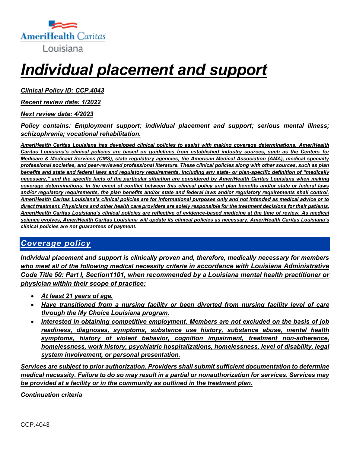

# *Individual placement and support*

*Clinical Policy ID: CCP.4043*

*Recent review date: 1/2022*

*Next review date: 4/2023*

### *Policy contains: Employment support; individual placement and support; serious mental illness; schizophrenia; vocational rehabilitation.*

*AmeriHealth Caritas Louisiana has developed clinical policies to assist with making coverage determinations. AmeriHealth Caritas Louisiana's clinical policies are based on guidelines from established industry sources, such as the Centers for Medicare & Medicaid Services (CMS), state regulatory agencies, the American Medical Association (AMA), medical specialty professional societies, and peer-reviewed professional literature. These clinical policies along with other sources, such as plan benefits and state and federal laws and regulatory requirements, including any state- or plan-specific definition of "medically necessary," and the specific facts of the particular situation are considered by AmeriHealth Caritas Louisiana when making coverage determinations. In the event of conflict between this clinical policy and plan benefits and/or state or federal laws and/or regulatory requirements, the plan benefits and/or state and federal laws and/or regulatory requirements shall control. AmeriHealth Caritas Louisiana's clinical policies are for informational purposes only and not intended as medical advice or to direct treatment. Physicians and other health care providers are solely responsible for the treatment decisions for their patients. AmeriHealth Caritas Louisiana's clinical policies are reflective of evidence-based medicine at the time of review. As medical science evolves, AmeriHealth Caritas Louisiana will update its clinical policies as necessary. AmeriHealth Caritas Louisiana's clinical policies are not guarantees of payment.*

# *Coverage policy*

*Individual placement and support is clinically proven and, therefore, medically necessary for members who meet all of the following medical necessity criteria in accordance with Louisiana Administrative Code Title 50: Part I, Section1101, when recommended by a Louisiana mental health practitioner or physician within their scope of practice:*

- *At least 21 years of age.*
- *Have transitioned from a nursing facility or been diverted from nursing facility level of care through the My Choice Louisiana program.*
- *Interested in obtaining competitive employment. Members are not excluded on the basis of job readiness, diagnoses, symptoms, substance use history, substance abuse, mental health symptoms, history of violent behavior, cognition impairment, treatment non-adherence, homelessness, work history, psychiatric hospitalizations, homelessness, level of disability, legal system involvement, or personal presentation.*

*Services are subject to prior authorization. Providers shall submit sufficient documentation to determine medical necessity. Failure to do so may result in a partial or nonauthorization for services. Services may be provided at a facility or in the community as outlined in the treatment plan.*

*Continuation criteria*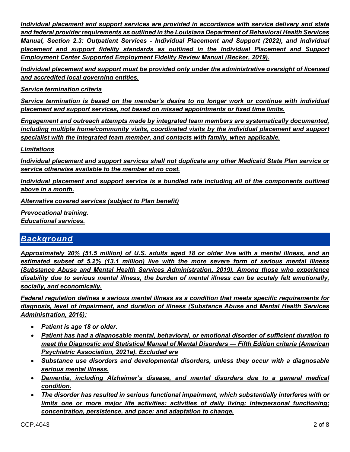*Individual placement and support services are provided in accordance with service delivery and state and federal provider requirements as outlined in the Louisiana Department of Behavioral Health Services Manual, Section 2.3: Outpatient Services - Individual Placement and Support (2022), and individual placement and support fidelity standards as outlined in the Individual Placement and Support Employment Center Supported Employment Fidelity Review Manual (Becker, 2019).*

*Individual placement and support must be provided only under the administrative oversight of licensed and accredited local governing entities.*

*Service termination criteria* 

*Service termination is based on the member's desire to no longer work or continue with individual placement and support services, not based on missed appointments or fixed time limits.* 

*Engagement and outreach attempts made by integrated team members are systematically documented, including multiple home/community visits, coordinated visits by the individual placement and support specialist with the integrated team member, and contacts with family, when applicable.* 

*Limitations*

*Individual placement and support services shall not duplicate any other Medicaid State Plan service or service otherwise available to the member at no cost.*

*Individual placement and support service is a bundled rate including all of the components outlined above in a month.*

*Alternative covered services (subject to Plan benefit)*

*Prevocational training. Educational services.* 

# *Background*

*Approximately 20% (51.5 million) of U.S. adults aged 18 or older live with a mental illness, and an estimated subset of 5.2% (13.1 million) live with the more severe form of serious mental illness (Substance Abuse and Mental Health Services Administration, 2019). Among those who experience disability due to serious mental illness, the burden of mental illness can be acutely felt emotionally, socially, and economically.*

*Federal regulation defines a serious mental illness as a condition that meets specific requirements for diagnosis, level of impairment, and duration of illness (Substance Abuse and Mental Health Services Administration, 2016):*

- *Patient is age 18 or older.*
- *Patient has had a diagnosable mental, behavioral, or emotional disorder of sufficient duration to meet the Diagnostic and Statistical Manual of Mental Disorders — Fifth Edition criteria (American Psychiatric Association, 2021a). Excluded are*
- *Substance use disorders and developmental disorders, unless they occur with a diagnosable serious mental illness.*
- *Dementia, including Alzheimer's disease, and mental disorders due to a general medical condition.*
- *The disorder has resulted in serious functional impairment, which substantially interferes with or limits one or more major life activities: activities of daily living; interpersonal functioning; concentration, persistence, and pace; and adaptation to change.*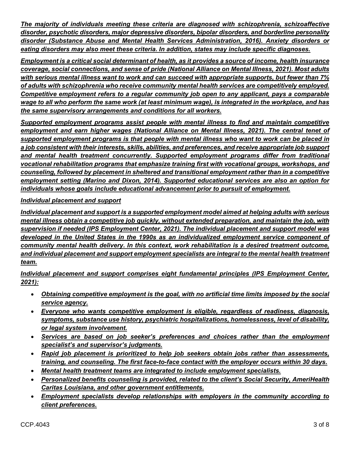*The majority of individuals meeting these criteria are diagnosed with schizophrenia, schizoaffective disorder, psychotic disorders, major depressive disorders, bipolar disorders, and borderline personality disorder (Substance Abuse and Mental Health Services Administration, 2016). Anxiety disorders or eating disorders may also meet these criteria. In addition, states may include specific diagnoses.* 

*Employment is a critical social determinant of health, as it provides a source of income, health insurance coverage, social connections, and sense of pride (National Alliance on Mental Illness, 2021). Most adults with serious mental illness want to work and can succeed with appropriate supports, but fewer than 7% of adults with schizophrenia who receive community mental health services are competitively employed. Competitive employment refers to a regular community job open to any applicant, pays a comparable wage to all who perform the same work (at least minimum wage), is integrated in the workplace, and has the same supervisory arrangements and conditions for all workers.*

*Supported employment programs assist people with mental illness to find and maintain competitive employment and earn higher wages (National Alliance on Mental Illness, 2021). The central tenet of supported employment programs is that people with mental illness who want to work can be placed in a job consistent with their interests, skills, abilities, and preferences, and receive appropriate job support and mental health treatment concurrently. Supported employment programs differ from traditional vocational rehabilitation programs that emphasize training first with vocational groups, workshops, and counseling, followed by placement in sheltered and transitional employment rather than in a competitive employment setting (Marino and Dixon, 2014). Supported educational services are also an option for individuals whose goals include educational advancement prior to pursuit of employment.* 

## *Individual placement and support*

*Individual placement and support is a supported employment model aimed at helping adults with serious mental illness obtain a competitive job quickly, without extended preparation, and maintain the job, with supervision if needed (IPS Employment Center, 2021). The individual placement and support model was developed in the United States in the 1990s as an individualized employment service component of community mental health delivery. In this context, work rehabilitation is a desired treatment outcome, and individual placement and support employment specialists are integral to the mental health treatment team.* 

*Individual placement and support comprises eight fundamental principles (IPS Employment Center, 2021):* 

- *Obtaining competitive employment is the goal, with no artificial time limits imposed by the social service agency.*
- *Everyone who wants competitive employment is eligible, regardless of readiness, diagnosis, symptoms, substance use history, psychiatric hospitalizations, homelessness, level of disability, or legal system involvement.*
- *Services are based on job seeker's preferences and choices rather than the employment specialist's and supervisor's judgments.*
- *Rapid job placement is prioritized to help job seekers obtain jobs rather than assessments, training, and counseling. The first face-to-face contact with the employer occurs within 30 days.*
- *Mental health treatment teams are integrated to include employment specialists.*
- *Personalized benefits counseling is provided, related to the client's Social Security, AmeriHealth Caritas Louisiana, and other government entitlements.*
- *Employment specialists develop relationships with employers in the community according to client preferences.*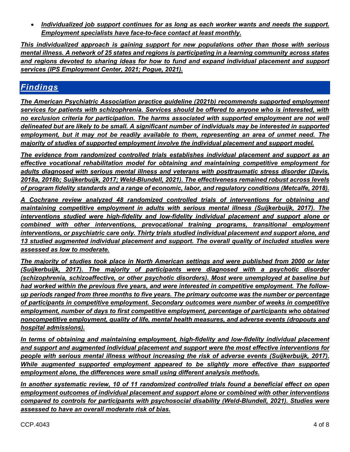*Individualized job support continues for as long as each worker wants and needs the support. Employment specialists have face-to-face contact at least monthly.* 

*This individualized approach is gaining support for new populations other than those with serious mental illness. A network of 25 states and regions is participating in a learning community across states and regions devoted to sharing ideas for how to fund and expand individual placement and support services (IPS Employment Center, 2021; Pogue, 2021).*

# *Findings*

*The American Psychiatric Association practice guideline (2021b) recommends supported employment services for patients with schizophrenia. Services should be offered to anyone who is interested, with no exclusion criteria for participation. The harms associated with supported employment are not well delineated but are likely to be small. A significant number of individuals may be interested in supported employment, but it may not be readily available to them, representing an area of unmet need. The majority of studies of supported employment involve the individual placement and support model.*

*The evidence from randomized controlled trials establishes individual placement and support as an effective vocational rehabilitation model for obtaining and maintaining competitive employment for adults diagnosed with serious mental illness and veterans with posttraumatic stress disorder (Davis, 2018a, 2018b; Suijkerbuijk, 2017; Weld-Blundell, 2021). The effectiveness remained robust across levels of program fidelity standards and a range of economic, labor, and regulatory conditions (Metcalfe, 2018).*

*A Cochrane review analyzed 48 randomized controlled trials of interventions for obtaining and maintaining competitive employment in adults with serious mental illness (Suijkerbuijk, 2017). The interventions studied were high-fidelity and low-fidelity individual placement and support alone or combined with other interventions, prevocational training programs, transitional employment interventions, or psychiatric care only. Thirty trials studied individual placement and support alone, and 13 studied augmented individual placement and support. The overall quality of included studies were assessed as low to moderate.*

*The majority of studies took place in North American settings and were published from 2000 or later (Suijkerbuijk, 2017). The majority of participants were diagnosed with a psychotic disorder (schizophrenia, schizoaffective, or other psychotic disorders). Most were unemployed at baseline but had worked within the previous five years, and were interested in competitive employment. The followup periods ranged from three months to five years. The primary outcome was the number or percentage of participants in competitive employment. Secondary outcomes were number of weeks in competitive employment, number of days to first competitive employment, percentage of participants who obtained noncompetitive employment, quality of life, mental health measures, and adverse events (dropouts and hospital admissions).* 

*In terms of obtaining and maintaining employment, high-fidelity and low-fidelity individual placement and support and augmented individual placement and support were the most effective interventions for people with serious mental illness without increasing the risk of adverse events (Suijkerbuijk, 2017). While augmented supported employment appeared to be slightly more effective than supported employment alone, the differences were small using different analysis methods.* 

*In another systematic review, 10 of 11 randomized controlled trials found a beneficial effect on open employment outcomes of individual placement and support alone or combined with other interventions compared to controls for participants with psychosocial disability (Weld-Blundell, 2021). Studies were assessed to have an overall moderate risk of bias.*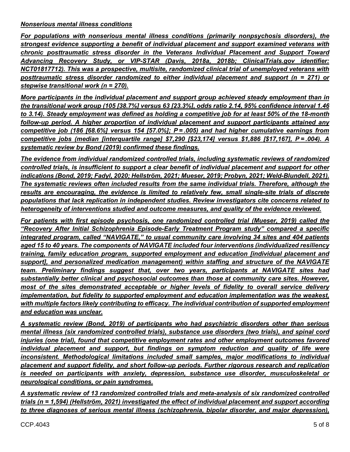#### *Nonserious mental illness conditions*

*For populations with nonserious mental illness conditions (primarily nonpsychosis disorders), the strongest evidence supporting a benefit of individual placement and support examined veterans with chronic posttraumatic stress disorder in the Veterans Individual Placement and Support Toward Advancing Recovery Study, or VIP-STAR (Davis, 2018a, 2018b; ClinicalTrials.gov identifier: NCT01817712). This was a prospective, multisite, randomized clinical trial of unemployed veterans with posttraumatic stress disorder randomized to either individual placement and support (n = 271) or stepwise transitional work (n = 270).* 

*More participants in the individual placement and support group achieved steady employment than in the transitional work group (105 [38.7%] versus 63 [23.3%], odds ratio 2.14, 95% confidence interval 1.46 to 3.14). Steady employment was defined as holding a competitive job for at least 50% of the 18-month follow-up period. A higher proportion of individual placement and support participants attained any competitive job (186 [68.6%] versus 154 [57.0%]; P = .005) and had higher cumulative earnings from competitive jobs (median [interquartile range] \$7,290 [\$23,174] versus \$1,886 [\$17,167], P = .004). A systematic review by Bond (2019) confirmed these findings.*

*The evidence from individual randomized controlled trials, including systematic reviews of randomized controlled trials, is insufficient to support a clear benefit of individual placement and support for other indications (Bond, 2019; Fadyl, 2020; Hellström, 2021; Mueser, 2019; Probyn, 2021; Weld-Blundell, 2021). The systematic reviews often included results from the same individual trials. Therefore, although the*  results are encouraging, the evidence is limited to relatively few, small single-site trials of discrete *populations that lack replication in independent studies. Review investigators cite concerns related to heterogeneity of interventions studied and outcome measures, and quality of the evidence reviewed.* 

*For patients with first episode psychosis, one randomized controlled trial (Mueser, 2019) called the "Recovery After Initial Schizophrenia Episode-Early Treatment Program study" compared a specific integrated program, called "NAVIGATE," to usual community care involving 34 sites and 404 patients aged 15 to 40 years. The components of NAVIGATE included four interventions (individualized resiliency training, family education program, supported employment and education [individual placement and support], and personalized medication management) within staffing and structure of the NAVIGATE team. Preliminary findings suggest that, over two years, participants at NAVIGATE sites had substantially better clinical and psychosocial outcomes than those at community care sites. However, most of the sites demonstrated acceptable or higher levels of fidelity to overall service delivery implementation, but fidelity to supported employment and education implementation was the weakest, with multiple factors likely contributing to efficacy. The individual contribution of supported employment and education was unclear.* 

*A systematic review (Bond, 2019) of participants who had psychiatric disorders other than serious mental illness (six randomized controlled trials), substance use disorders (two trials), and spinal cord injuries (one trial), found that competitive employment rates and other employment outcomes favored individual placement and support, but findings on symptom reduction and quality of life were inconsistent. Methodological limitations included small samples, major modifications to individual placement and support fidelity, and short follow-up periods. Further rigorous research and replication is needed on participants with anxiety, depression, substance use disorder, musculoskeletal or neurological conditions, or pain syndromes.*

*A systematic review of 13 randomized controlled trials and meta-analysis of six randomized controlled trials (n = 1,594) (Hellström, 2021) investigated the effect of individual placement and support according to three diagnoses of serious mental illness (schizophrenia, bipolar disorder, and major depression),*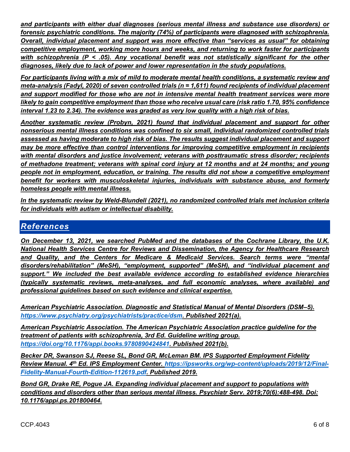*and participants with either dual diagnoses (serious mental illness and substance use disorders) or forensic psychiatric conditions. The majority (74%) of participants were diagnosed with schizophrenia. Overall, individual placement and support was more effective than "services as usual" for obtaining competitive employment, working more hours and weeks, and returning to work faster for participants with schizophrenia (P < .05). Any vocational benefit was not statistically significant for the other diagnoses, likely due to lack of power and lower representation in the study populations.*

*For participants living with a mix of mild to moderate mental health conditions, a systematic review and meta-analysis (Fadyl, 2020) of seven controlled trials (n = 1,611) found recipients of individual placement and support modified for those who are not in intensive mental health treatment services were more likely to gain competitive employment than those who receive usual care (risk ratio 1.70, 95% confidence interval 1.23 to 2.34). The evidence was graded as very low quality with a high risk of bias.* 

*Another systematic review (Probyn, 2021) found that individual placement and support for other nonserious mental illness conditions was confined to six small, individual randomized controlled trials assessed as having moderate to high risk of bias. The results suggest individual placement and support may be more effective than control interventions for improving competitive employment in recipients with mental disorders and justice involvement; veterans with posttraumatic stress disorder; recipients of methadone treatment; veterans with spinal cord injury at 12 months and at 24 months; and young people not in employment, education, or training. The results did not show a competitive employment benefit for workers with musculoskeletal injuries, individuals with substance abuse, and formerly homeless people with mental illness.*

*In the systematic review by Weld-Blundell (2021), no randomized controlled trials met inclusion criteria for individuals with autism or intellectual disability.*

## *References*

*On December 13, 2021, we searched PubMed and the databases of the Cochrane Library, the U.K. National Health Services Centre for Reviews and Dissemination, the Agency for Healthcare Research and Quality, and the Centers for Medicare & Medicaid Services. Search terms were "mental disorders/rehabilitation" (MeSH), "employment, supported" (MeSH), and "individual placement and support." We included the best available evidence according to established evidence hierarchies (typically systematic reviews, meta-analyses, and full economic analyses, where available) and professional guidelines based on such evidence and clinical expertise.*

*American Psychiatric Association. Diagnostic and Statistical Manual of Mental Disorders (DSM–5). [https://www.psychiatry.org/psychiatrists/practice/dsm.](https://www.psychiatry.org/psychiatrists/practice/dsm) Published 2021(a).*

*American Psychiatric Association. The American Psychiatric Association practice guideline for the treatment of patients with schizophrenia, 3rd Ed. Guideline writing group. [https://doi.org/10.1176/appi.books.9780890424841.](https://doi.org/10.1176/appi.books.9780890424841) Published 2021(b).*

*Becker DR, Swanson SJ, Reese SL, Bond GR, McLeman BM. IPS Supported Employment Fidelity Review Manual. 4th Ed. IPS Employment Center. [https://ipsworks.org/wp-content/uploads/2019/12/Final-](https://ipsworks.org/wp-content/uploads/2019/12/Final-Fidelity-Manual-Fourth-Edition-112619.pdf)[Fidelity-Manual-Fourth-Edition-112619.pdf.](https://ipsworks.org/wp-content/uploads/2019/12/Final-Fidelity-Manual-Fourth-Edition-112619.pdf) Published 2019.*

*Bond GR, Drake RE, Pogue JA. Expanding individual placement and support to populations with conditions and disorders other than serious mental illness. Psychiatr Serv. 2019;70(6):488-498. Doi: 10.1176/appi.ps.201800464.*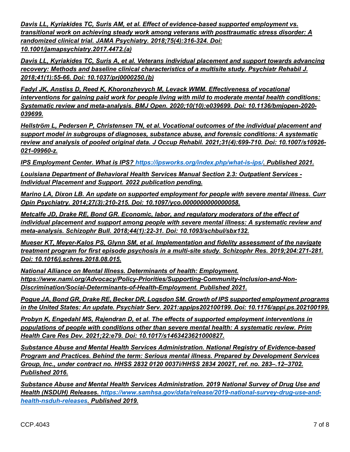*Davis LL, Kyriakides TC, Suris AM, et al. Effect of evidence-based supported employment vs. transitional work on achieving steady work among veterans with posttraumatic stress disorder: A randomized clinical trial. JAMA Psychiatry. 2018;75(4):316-324. Doi: 10.1001/jamapsychiatry.2017.4472.(a)*

*Davis LL, Kyriakides TC, Suris A, et al. Veterans individual placement and support towards advancing recovery: Methods and baseline clinical characteristics of a multisite study. Psychiatr Rehabil J. 2018;41(1):55-66. Doi: 10.1037/prj0000250.(b)*

*Fadyl JK, Anstiss D, Reed K, Khoronzhevych M, Levack WMM. Effectiveness of vocational interventions for gaining paid work for people living with mild to moderate mental health conditions: Systematic review and meta-analysis. BMJ Open. 2020;10(10):e039699. Doi: 10.1136/bmjopen-2020- 039699.*

*Hellström L, Pedersen P, Christensen TN, et al. Vocational outcomes of the individual placement and support model in subgroups of diagnoses, substance abuse, and forensic conditions: A systematic review and analysis of pooled original data. J Occup Rehabil. 2021;31(4):699-710. Doi: 10.1007/s10926- 021-09960-z.*

*IPS Employment Center. What is IPS? [https://ipsworks.org/index.php/what-is-ips/.](https://ipsworks.org/index.php/what-is-ips/) Published 2021.*

*Louisiana Department of Behavioral Health Services Manual Section 2.3: Outpatient Services - Individual Placement and Support. 2022 publication pending.* 

*Marino LA, Dixon LB. An update on supported employment for people with severe mental illness. Curr Opin Psychiatry. 2014;27(3):210-215. Doi: 10.1097/yco.0000000000000058.*

*Metcalfe JD, Drake RE, Bond GR. Economic, labor, and regulatory moderators of the effect of individual placement and support among people with severe mental illness: A systematic review and meta-analysis. Schizophr Bull. 2018;44(1):22-31. Doi: 10.1093/schbul/sbx132.*

*Mueser KT, Meyer-Kalos PS, Glynn SM, et al. Implementation and fidelity assessment of the navigate treatment program for first episode psychosis in a multi-site study. Schizophr Res. 2019;204:271-281. Doi: 10.1016/j.schres.2018.08.015.*

*National Alliance on Mental Illness. Determinants of health: Employment. [https://www.nami.org/Advocacy/Policy-Priorities/Supporting-Community-Inclusion-and-Non-](https://www.nami.org/Advocacy/Policy-Priorities/Supporting-Community-Inclusion-and-Non-Discrimination/Social-Determinants-of-Health-Employment)[Discrimination/Social-Determinants-of-Health-Employment.](https://www.nami.org/Advocacy/Policy-Priorities/Supporting-Community-Inclusion-and-Non-Discrimination/Social-Determinants-of-Health-Employment) Published 2021.* 

*Pogue JA, Bond GR, Drake RE, Becker DR, Logsdon SM. Growth of IPS supported employment programs in the United States: An update. Psychiatr Serv. 2021:appips202100199. Doi: 10.1176/appi.ps.202100199.*

*Probyn K, Engedahl MS, Rajendran D, et al. The effects of supported employment interventions in populations of people with conditions other than severe mental health: A systematic review. Prim Health Care Res Dev. 2021;22:e79. Doi: 10.1017/s1463423621000827.*

*Substance Abuse and Mental Health Services Administration. National Registry of Evidence-based Program and Practices. Behind the term: Serious mental illness. Prepared by Development Services Group, Inc., under contract no. HHSS 2832 0120 0037i/HHSS 2834 2002T, ref. no. 283–.12–3702. Published 2016.* 

*Substance Abuse and Mental Health Services Administration. 2019 National Survey of Drug Use and Health (NSDUH) Releases. [https://www.samhsa.gov/data/release/2019-national-survey-drug-use-and](https://www.samhsa.gov/data/release/2019-national-survey-drug-use-and-health-nsduh-releases)[health-nsduh-releases.](https://www.samhsa.gov/data/release/2019-national-survey-drug-use-and-health-nsduh-releases) Published 2019.*